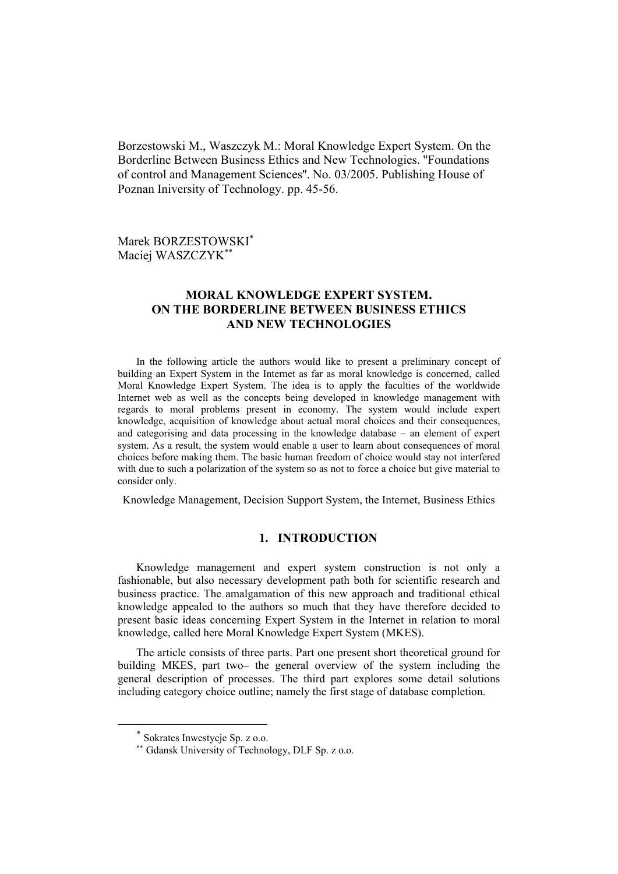Borzestowski M., Waszczyk M.: Moral Knowledge Expert System. On the Borderline Between Business Ethics and New Technologies. ''Foundations of control and Management Sciences''. No. 03/2005. Publishing House of Poznan Iniversity of Technology. pp. 45-56.

Marek BORZESTOWSKI\* Maciej WASZCZYK\*\*

# **MORAL KNOWLEDGE EXPERT SYSTEM. ON THE BORDERLINE BETWEEN BUSINESS ETHICS AND NEW TECHNOLOGIES**

In the following article the authors would like to present a preliminary concept of building an Expert System in the Internet as far as moral knowledge is concerned, called Moral Knowledge Expert System. The idea is to apply the faculties of the worldwide Internet web as well as the concepts being developed in knowledge management with regards to moral problems present in economy. The system would include expert knowledge, acquisition of knowledge about actual moral choices and their consequences, and categorising and data processing in the knowledge database – an element of expert system. As a result, the system would enable a user to learn about consequences of moral choices before making them. The basic human freedom of choice would stay not interfered with due to such a polarization of the system so as not to force a choice but give material to consider only.

Knowledge Management, Decision Support System, the Internet, Business Ethics

### **1. INTRODUCTION**

Knowledge management and expert system construction is not only a fashionable, but also necessary development path both for scientific research and business practice. The amalgamation of this new approach and traditional ethical knowledge appealed to the authors so much that they have therefore decided to present basic ideas concerning Expert System in the Internet in relation to moral knowledge, called here Moral Knowledge Expert System (MKES).

The article consists of three parts. Part one present short theoretical ground for building MKES, part two– the general overview of the system including the general description of processes. The third part explores some detail solutions including category choice outline; namely the first stage of database completion.

<sup>\*</sup> Sokrates Inwestycje Sp. z o.o.

<sup>\*\*</sup> Gdansk University of Technology, DLF Sp. z o.o.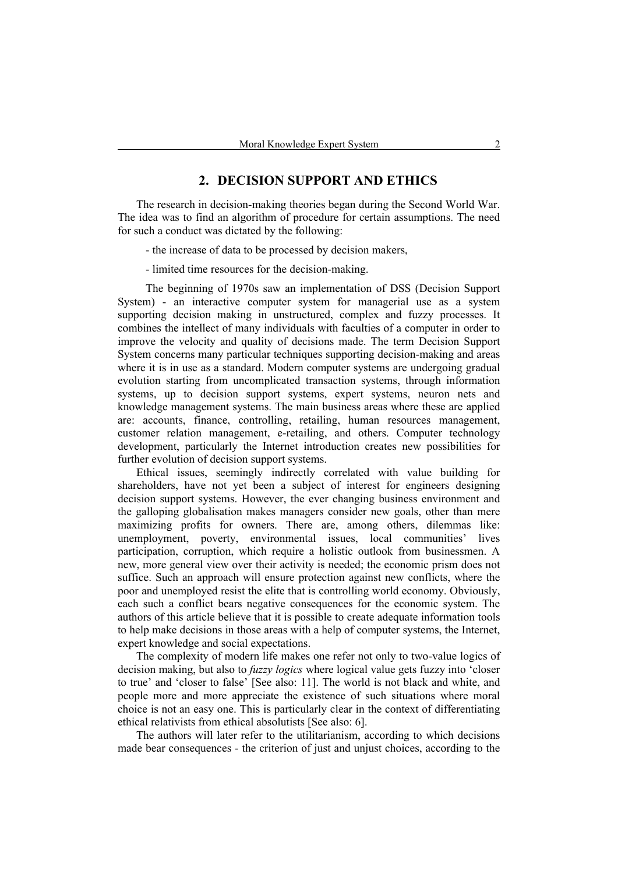## **2. DECISION SUPPORT AND ETHICS**

The research in decision-making theories began during the Second World War. The idea was to find an algorithm of procedure for certain assumptions. The need for such a conduct was dictated by the following:

- the increase of data to be processed by decision makers,
- limited time resources for the decision-making.

The beginning of 1970s saw an implementation of DSS (Decision Support System) - an interactive computer system for managerial use as a system supporting decision making in unstructured, complex and fuzzy processes. It combines the intellect of many individuals with faculties of a computer in order to improve the velocity and quality of decisions made. The term Decision Support System concerns many particular techniques supporting decision-making and areas where it is in use as a standard. Modern computer systems are undergoing gradual evolution starting from uncomplicated transaction systems, through information systems, up to decision support systems, expert systems, neuron nets and knowledge management systems. The main business areas where these are applied are: accounts, finance, controlling, retailing, human resources management, customer relation management, e-retailing, and others. Computer technology development, particularly the Internet introduction creates new possibilities for further evolution of decision support systems.

Ethical issues, seemingly indirectly correlated with value building for shareholders, have not yet been a subject of interest for engineers designing decision support systems. However, the ever changing business environment and the galloping globalisation makes managers consider new goals, other than mere maximizing profits for owners. There are, among others, dilemmas like: unemployment, poverty, environmental issues, local communities' lives participation, corruption, which require a holistic outlook from businessmen. A new, more general view over their activity is needed; the economic prism does not suffice. Such an approach will ensure protection against new conflicts, where the poor and unemployed resist the elite that is controlling world economy. Obviously, each such a conflict bears negative consequences for the economic system. The authors of this article believe that it is possible to create adequate information tools to help make decisions in those areas with a help of computer systems, the Internet, expert knowledge and social expectations.

The complexity of modern life makes one refer not only to two-value logics of decision making, but also to *fuzzy logics* where logical value gets fuzzy into 'closer to true' and 'closer to false' [See also: 11]. The world is not black and white, and people more and more appreciate the existence of such situations where moral choice is not an easy one. This is particularly clear in the context of differentiating ethical relativists from ethical absolutists [See also: 6].

The authors will later refer to the utilitarianism, according to which decisions made bear consequences - the criterion of just and unjust choices, according to the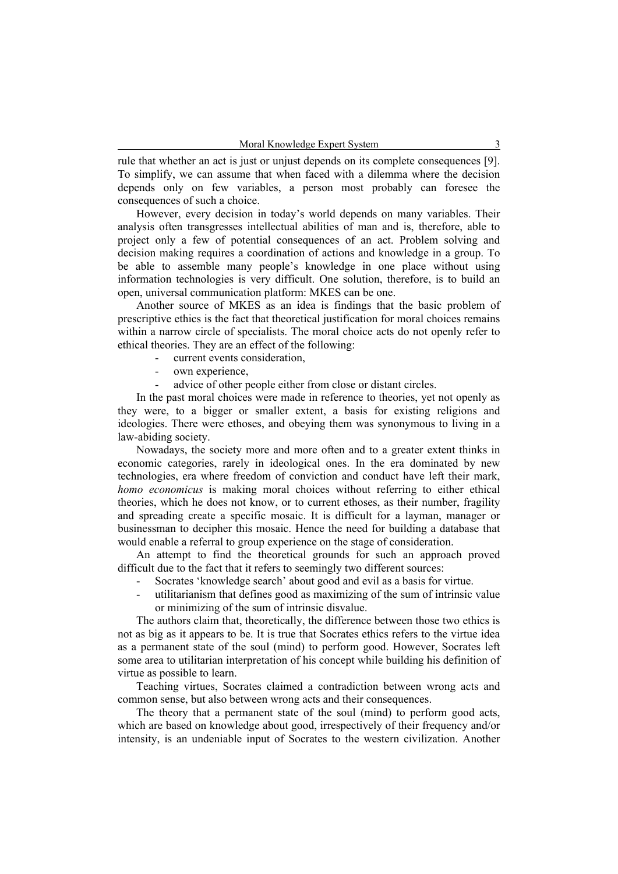rule that whether an act is just or unjust depends on its complete consequences [9]. To simplify, we can assume that when faced with a dilemma where the decision depends only on few variables, a person most probably can foresee the consequences of such a choice.

However, every decision in today's world depends on many variables. Their analysis often transgresses intellectual abilities of man and is, therefore, able to project only a few of potential consequences of an act. Problem solving and decision making requires a coordination of actions and knowledge in a group. To be able to assemble many people's knowledge in one place without using information technologies is very difficult. One solution, therefore, is to build an open, universal communication platform: MKES can be one.

Another source of MKES as an idea is findings that the basic problem of prescriptive ethics is the fact that theoretical justification for moral choices remains within a narrow circle of specialists. The moral choice acts do not openly refer to ethical theories. They are an effect of the following:

- current events consideration,
- own experience,
- advice of other people either from close or distant circles.

In the past moral choices were made in reference to theories, yet not openly as they were, to a bigger or smaller extent, a basis for existing religions and ideologies. There were ethoses, and obeying them was synonymous to living in a law-abiding society.

Nowadays, the society more and more often and to a greater extent thinks in economic categories, rarely in ideological ones. In the era dominated by new technologies, era where freedom of conviction and conduct have left their mark, *homo economicus* is making moral choices without referring to either ethical theories, which he does not know, or to current ethoses, as their number, fragility and spreading create a specific mosaic. It is difficult for a layman, manager or businessman to decipher this mosaic. Hence the need for building a database that would enable a referral to group experience on the stage of consideration.

An attempt to find the theoretical grounds for such an approach proved difficult due to the fact that it refers to seemingly two different sources:

- Socrates 'knowledge search' about good and evil as a basis for virtue.
- utilitarianism that defines good as maximizing of the sum of intrinsic value or minimizing of the sum of intrinsic disvalue.

The authors claim that, theoretically, the difference between those two ethics is not as big as it appears to be. It is true that Socrates ethics refers to the virtue idea as a permanent state of the soul (mind) to perform good. However, Socrates left some area to utilitarian interpretation of his concept while building his definition of virtue as possible to learn.

Teaching virtues, Socrates claimed a contradiction between wrong acts and common sense, but also between wrong acts and their consequences.

The theory that a permanent state of the soul (mind) to perform good acts, which are based on knowledge about good, irrespectively of their frequency and/or intensity, is an undeniable input of Socrates to the western civilization. Another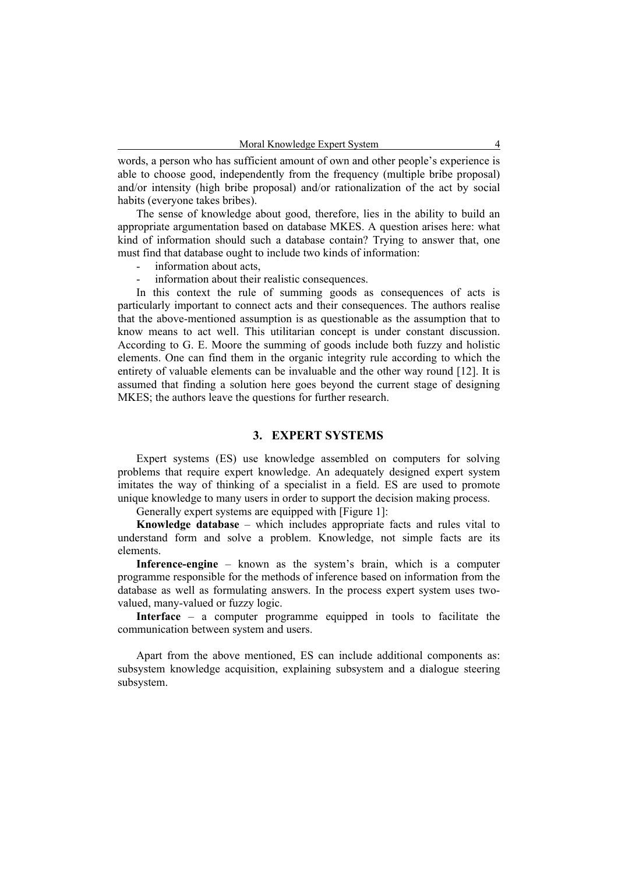words, a person who has sufficient amount of own and other people's experience is able to choose good, independently from the frequency (multiple bribe proposal) and/or intensity (high bribe proposal) and/or rationalization of the act by social habits (everyone takes bribes).

The sense of knowledge about good, therefore, lies in the ability to build an appropriate argumentation based on database MKES. A question arises here: what kind of information should such a database contain? Trying to answer that, one must find that database ought to include two kinds of information:

- information about acts,
- information about their realistic consequences.

In this context the rule of summing goods as consequences of acts is particularly important to connect acts and their consequences. The authors realise that the above-mentioned assumption is as questionable as the assumption that to know means to act well. This utilitarian concept is under constant discussion. According to G. E. Moore the summing of goods include both fuzzy and holistic elements. One can find them in the organic integrity rule according to which the entirety of valuable elements can be invaluable and the other way round [12]. It is assumed that finding a solution here goes beyond the current stage of designing MKES; the authors leave the questions for further research.

#### **3. EXPERT SYSTEMS**

Expert systems (ES) use knowledge assembled on computers for solving problems that require expert knowledge. An adequately designed expert system imitates the way of thinking of a specialist in a field. ES are used to promote unique knowledge to many users in order to support the decision making process.

Generally expert systems are equipped with [Figure 1]:

**Knowledge database** – which includes appropriate facts and rules vital to understand form and solve a problem. Knowledge, not simple facts are its elements.

**Inference-engine** – known as the system's brain, which is a computer programme responsible for the methods of inference based on information from the database as well as formulating answers. In the process expert system uses twovalued, many-valued or fuzzy logic.

**Interface** – a computer programme equipped in tools to facilitate the communication between system and users.

Apart from the above mentioned, ES can include additional components as: subsystem knowledge acquisition, explaining subsystem and a dialogue steering subsystem.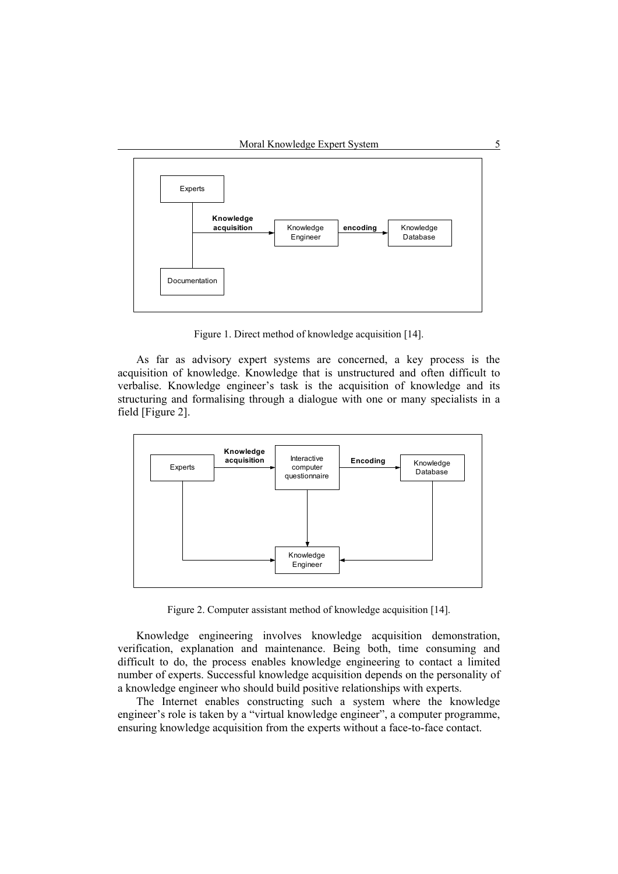

Figure 1. Direct method of knowledge acquisition [14].

As far as advisory expert systems are concerned, a key process is the acquisition of knowledge. Knowledge that is unstructured and often difficult to verbalise. Knowledge engineer's task is the acquisition of knowledge and its structuring and formalising through a dialogue with one or many specialists in a field [Figure 2].



Figure 2. Computer assistant method of knowledge acquisition [14].

Knowledge engineering involves knowledge acquisition demonstration, verification, explanation and maintenance. Being both, time consuming and difficult to do, the process enables knowledge engineering to contact a limited number of experts. Successful knowledge acquisition depends on the personality of a knowledge engineer who should build positive relationships with experts.

The Internet enables constructing such a system where the knowledge engineer's role is taken by a "virtual knowledge engineer", a computer programme, ensuring knowledge acquisition from the experts without a face-to-face contact.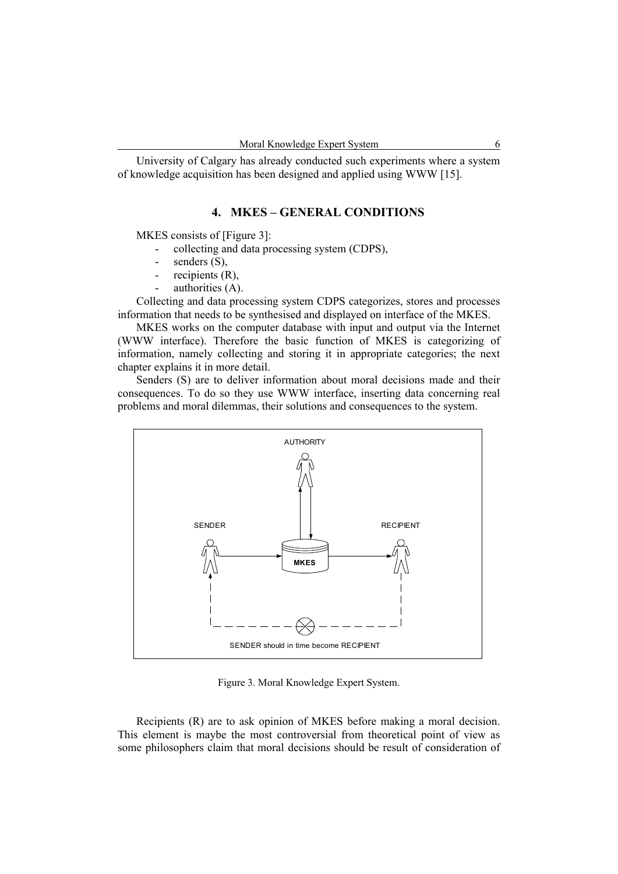University of Calgary has already conducted such experiments where a system of knowledge acquisition has been designed and applied using WWW [15].

### **4. MKES – GENERAL CONDITIONS**

MKES consists of [Figure 3]:

- collecting and data processing system (CDPS),
- senders  $(S)$ ,
- recipients  $(R)$ ,
- authorities (A).

Collecting and data processing system CDPS categorizes, stores and processes information that needs to be synthesised and displayed on interface of the MKES.

MKES works on the computer database with input and output via the Internet (WWW interface). Therefore the basic function of MKES is categorizing of information, namely collecting and storing it in appropriate categories; the next chapter explains it in more detail.

Senders (S) are to deliver information about moral decisions made and their consequences. To do so they use WWW interface, inserting data concerning real problems and moral dilemmas, their solutions and consequences to the system.



Figure 3. Moral Knowledge Expert System.

Recipients (R) are to ask opinion of MKES before making a moral decision. This element is maybe the most controversial from theoretical point of view as some philosophers claim that moral decisions should be result of consideration of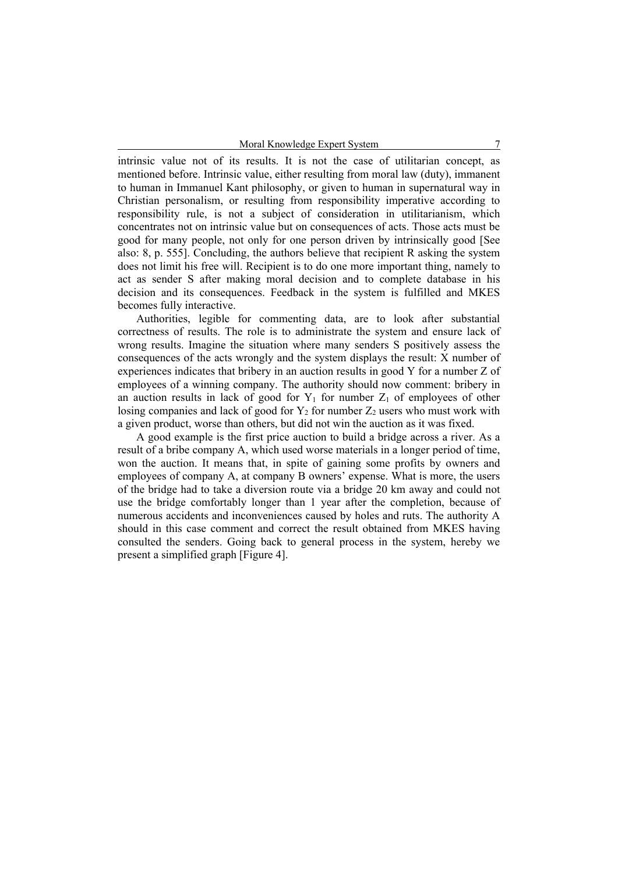intrinsic value not of its results. It is not the case of utilitarian concept, as mentioned before. Intrinsic value, either resulting from moral law (duty), immanent to human in Immanuel Kant philosophy, or given to human in supernatural way in Christian personalism, or resulting from responsibility imperative according to responsibility rule, is not a subject of consideration in utilitarianism, which concentrates not on intrinsic value but on consequences of acts. Those acts must be good for many people, not only for one person driven by intrinsically good [See also: 8, p. 555]. Concluding, the authors believe that recipient R asking the system does not limit his free will. Recipient is to do one more important thing, namely to act as sender S after making moral decision and to complete database in his decision and its consequences. Feedback in the system is fulfilled and MKES becomes fully interactive.

Authorities, legible for commenting data, are to look after substantial correctness of results. The role is to administrate the system and ensure lack of wrong results. Imagine the situation where many senders S positively assess the consequences of the acts wrongly and the system displays the result: X number of experiences indicates that bribery in an auction results in good Y for a number Z of employees of a winning company. The authority should now comment: bribery in an auction results in lack of good for  $Y_1$  for number  $Z_1$  of employees of other losing companies and lack of good for  $Y_2$  for number  $Z_2$  users who must work with a given product, worse than others, but did not win the auction as it was fixed.

A good example is the first price auction to build a bridge across a river. As a result of a bribe company A, which used worse materials in a longer period of time, won the auction. It means that, in spite of gaining some profits by owners and employees of company A, at company B owners' expense. What is more, the users of the bridge had to take a diversion route via a bridge 20 km away and could not use the bridge comfortably longer than 1 year after the completion, because of numerous accidents and inconveniences caused by holes and ruts. The authority A should in this case comment and correct the result obtained from MKES having consulted the senders. Going back to general process in the system, hereby we present a simplified graph [Figure 4].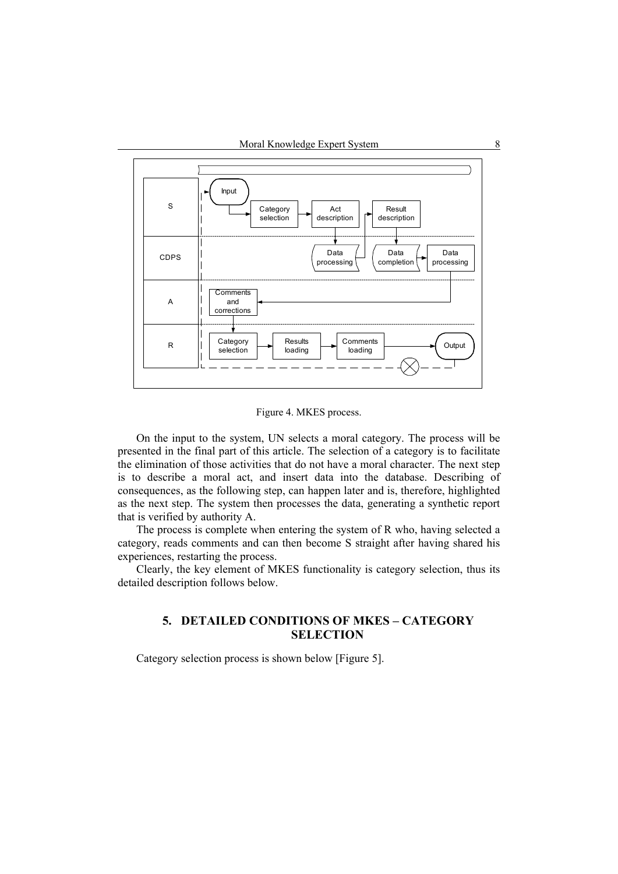

Figure 4. MKES process.

On the input to the system, UN selects a moral category. The process will be presented in the final part of this article. The selection of a category is to facilitate the elimination of those activities that do not have a moral character. The next step is to describe a moral act, and insert data into the database. Describing of consequences, as the following step, can happen later and is, therefore, highlighted as the next step. The system then processes the data, generating a synthetic report that is verified by authority A.

The process is complete when entering the system of R who, having selected a category, reads comments and can then become S straight after having shared his experiences, restarting the process.

Clearly, the key element of MKES functionality is category selection, thus its detailed description follows below.

# **5. DETAILED CONDITIONS OF MKES – CATEGORY SELECTION**

Category selection process is shown below [Figure 5].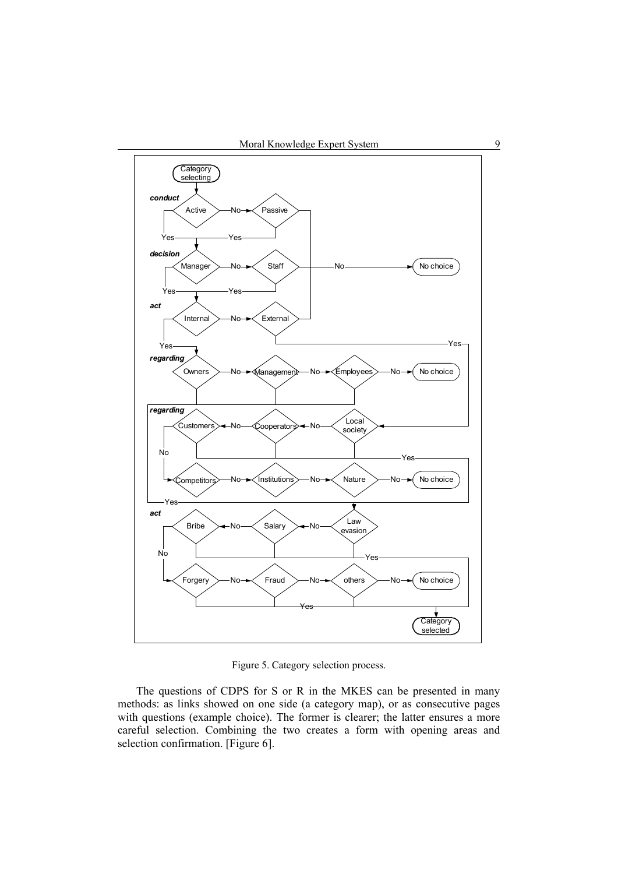

Figure 5. Category selection process.

The questions of CDPS for S or R in the MKES can be presented in many methods: as links showed on one side (a category map), or as consecutive pages with questions (example choice). The former is clearer; the latter ensures a more careful selection. Combining the two creates a form with opening areas and selection confirmation. [Figure 6].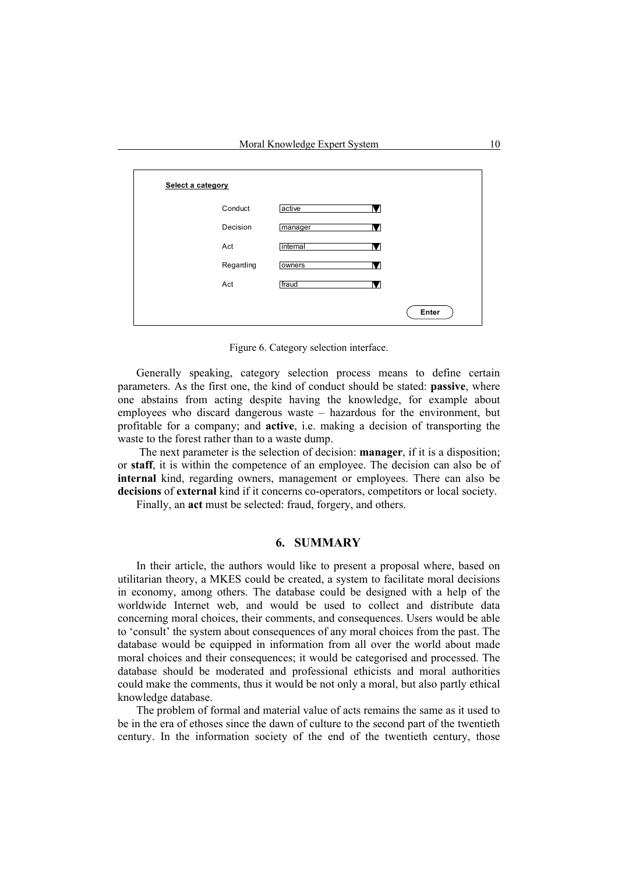| Select a category |           |          |       |
|-------------------|-----------|----------|-------|
|                   | Conduct   | active   |       |
|                   | Decision  | manager  |       |
|                   | Act       | internal |       |
|                   | Regarding | owners   |       |
|                   | Act       | fraud    |       |
|                   |           |          | Enter |

Figure 6. Category selection interface.

Generally speaking, category selection process means to define certain parameters. As the first one, the kind of conduct should be stated: **passive**, where one abstains from acting despite having the knowledge, for example about employees who discard dangerous waste – hazardous for the environment, but profitable for a company; and **active**, i.e. making a decision of transporting the waste to the forest rather than to a waste dump.

 The next parameter is the selection of decision: **manager**, if it is a disposition; or **staff**, it is within the competence of an employee. The decision can also be of **internal** kind, regarding owners, management or employees. There can also be **decisions** of **external** kind if it concerns co-operators, competitors or local society.

Finally, an **act** must be selected: fraud, forgery, and others.

### **6. SUMMARY**

In their article, the authors would like to present a proposal where, based on utilitarian theory, a MKES could be created, a system to facilitate moral decisions in economy, among others. The database could be designed with a help of the worldwide Internet web, and would be used to collect and distribute data concerning moral choices, their comments, and consequences. Users would be able to 'consult' the system about consequences of any moral choices from the past. The database would be equipped in information from all over the world about made moral choices and their consequences; it would be categorised and processed. The database should be moderated and professional ethicists and moral authorities could make the comments, thus it would be not only a moral, but also partly ethical knowledge database.

The problem of formal and material value of acts remains the same as it used to be in the era of ethoses since the dawn of culture to the second part of the twentieth century. In the information society of the end of the twentieth century, those